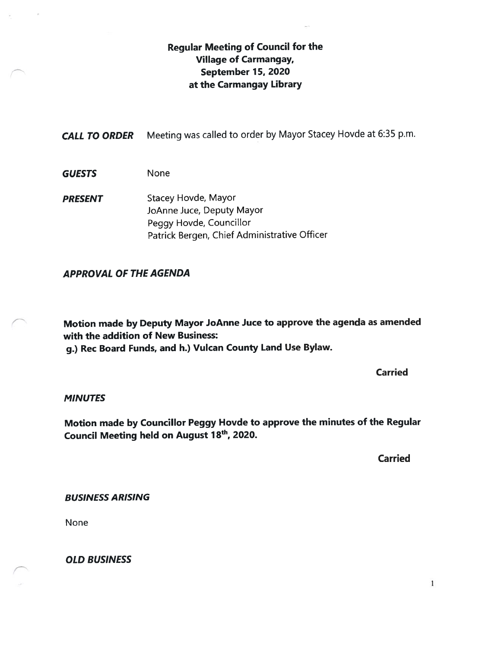# Regular Meeting of Council for the Village of Carmangay, September 15, 2020 at the Carmangay Library

CALL TO ORDER Meeting was called to order by Mayor Stacey Hovde at 6:35 p.m.

- GUESTS None
- PRESENT Stacey Hovde, Mayor JoAnne Juce, Deputy Mayor Peggy Hovde, Councillor Patrick Bergen, Chief Administrative Officer

## APPROVAL OF THE AGENDA

Motion made by Deputy Mayor JoAnne Juce to approve the agenda as amended with the addition of New Business:

g.) Rec Board Funds, and h.) Vulcan County Land Use Bylaw.

Carried

#### **MINUTES**

Motion made by Councillor Peggy Hovde to approve the minutes of the Regular Council Meeting held on August 18<sup>th</sup>, 2020.

Carried

#### BUSINESS ARISING

None

OLD BUSINESS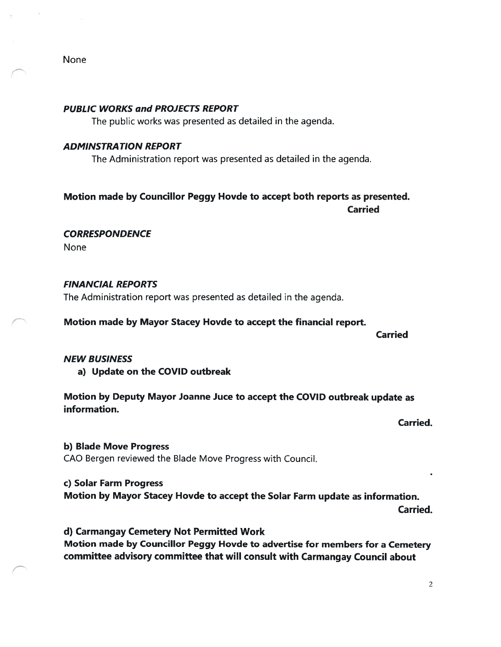None

#### PUBLIC WORKS and PROJECTS REPORT

The public works was presented as detailed in the agenda.

#### ADMINSTRATION REPORT

The Administration report was presented as detailed in the agenda.

# Motion made by Councillor Peggy Hovde to accept both reports as presented. Carried

**CORRESPONDENCE** 

None

#### FINANCIAL REPORTS

The Administration report was presented as detailed in the agenda.

Motion made by Mayor Stacey Hovde to accept the financial report.

Carried

#### NEW BUSINESS

a) Update on the COVID outbreak

Motion by Deputy Mayor Joanne Juce to accept the COVID outbreak update as information.

Carried.

b) Blade Move Progress CAO Bergen reviewed the Blade Move Progress with Council.

C) Solar Farm Progress

Motion by Mayor Stacey Hovde to accept the Solar Farm update as information. Carried.

d) Carmangay Cemetery Not Permitted Work Motion made by Councillor Peggy Hovde to advertise for members for a Cemetery committee advisory committee that will consult with Carmangay Council about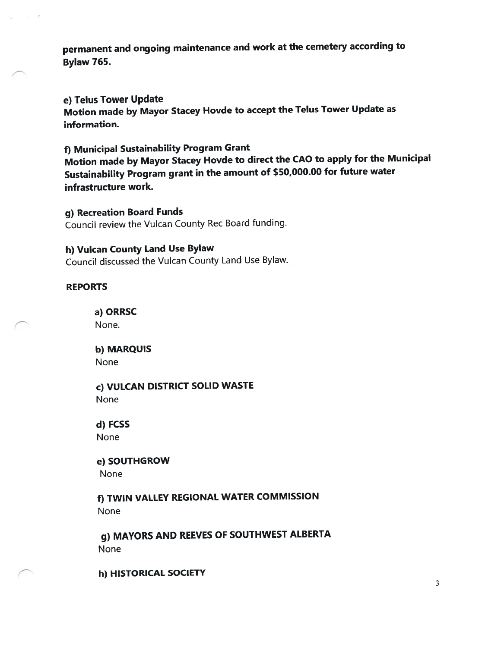permanen<sup>t</sup> and ongoing maintenance and work at the cemetery according to Bylaw 765.

e) Telus Tower Update

Motion made by Mayor Stacey Hovde to accep<sup>t</sup> the Telus Tower Update as information.

# f) Municipal Sustainability Program Grant

Motion made by Mayor Stacey Hovde to direct the CAO to apply for the Municipal Sustainability Program gran<sup>t</sup> in the amount of \$50,000.00 for future water infrastructure work.

g) Recreation Board Funds Council review the Vulcan County Rec Board funding.

#### h) Vulcan County Land Use Bylaw

Council discussed the Vulcan County Land Use Bylaw.

### REPORTS

a) ORRSC None.

b) MARQUIS None

c) VULCAN DISTRICT SOLID WASTE None

d) FCSS None

e) SOUTHGROW None

f) TWIN VALLEY REGIONAL WATER COMMISSION None

g) MAYORS AND REEVES OF SOUTHWEST ALBERTA None

h) HISTORICAL SOCIETY